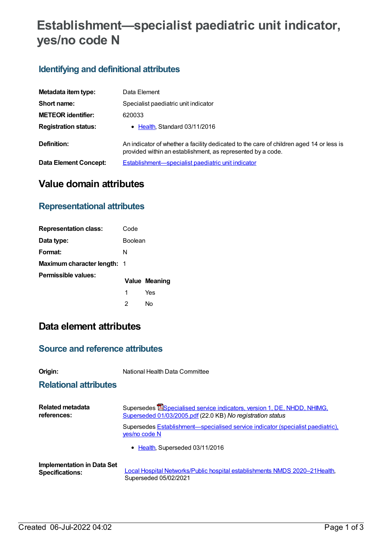# **Establishment—specialist paediatric unit indicator, yes/no code N**

## **Identifying and definitional attributes**

| Metadata item type:         | Data Element                                                                                                                                           |
|-----------------------------|--------------------------------------------------------------------------------------------------------------------------------------------------------|
| Short name:                 | Specialist paediatric unit indicator                                                                                                                   |
| <b>METEOR identifier:</b>   | 620033                                                                                                                                                 |
| <b>Registration status:</b> | • Health, Standard 03/11/2016                                                                                                                          |
| Definition:                 | An indicator of whether a facility dedicated to the care of children aged 14 or less is<br>provided within an establishment, as represented by a code. |
| Data Element Concept:       | Establishment-specialist paediatric unit indicator                                                                                                     |

## **Value domain attributes**

#### **Representational attributes**

| <b>Representation class:</b>       | Code           |                      |
|------------------------------------|----------------|----------------------|
| Data type:                         | <b>Boolean</b> |                      |
| Format:                            | N              |                      |
| <b>Maximum character length: 1</b> |                |                      |
| Permissible values:                |                | <b>Value Meaning</b> |
|                                    | 1              | Yes                  |
|                                    | 2              | Nο                   |

# **Data element attributes**

#### **Source and reference attributes**

**Origin:** National Health Data Committee

#### **Relational attributes**

| Related metadata                  | Supersedes <b>ESpecialised service indicators, version 1, DE, NHDD, NHIMG,</b>                   |
|-----------------------------------|--------------------------------------------------------------------------------------------------|
| references:                       | Superseded 01/03/2005.pdf (22.0 KB) No registration status                                       |
|                                   | Supersedes Establishment-specialised service indicator (specialist paediatric).<br>yes/no code N |
|                                   | • Health, Superseded 03/11/2016                                                                  |
| <b>Implementation in Data Set</b> | Local Hospital Networks/Public hospital establishments NMDS 2020-21 Health,                      |
| <b>Specifications:</b>            | Superseded 05/02/2021                                                                            |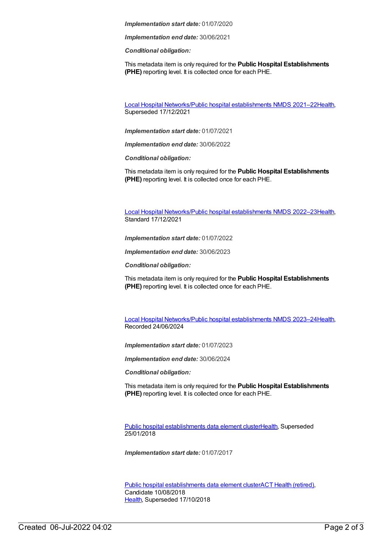*Implementation start date:* 01/07/2020

*Implementation end date:* 30/06/2021

*Conditional obligation:*

This metadata item is only required for the **Public Hospital Establishments (PHE)** reporting level. It is collected once for each PHE.

Local Hospital [Networks/Public](https://meteor.aihw.gov.au/content/727356) hospital establishments NMDS 2021–22[Health](https://meteor.aihw.gov.au/RegistrationAuthority/12), Superseded 17/12/2021

*Implementation start date:* 01/07/2021

*Implementation end date:* 30/06/2022

*Conditional obligation:*

This metadata item is only required for the **Public Hospital Establishments (PHE)** reporting level. It is collected once for each PHE.

Local Hospital [Networks/Public](https://meteor.aihw.gov.au/content/742044) hospital establishments NMDS 2022–23[Health](https://meteor.aihw.gov.au/RegistrationAuthority/12), Standard 17/12/2021

*Implementation start date:* 01/07/2022

*Implementation end date:* 30/06/2023

*Conditional obligation:*

This metadata item is only required for the **Public Hospital Establishments (PHE)** reporting level. It is collected once for each PHE.

Local Hospital [Networks/Public](https://meteor.aihw.gov.au/content/756101) hospital establishments NMDS 2023–24[Health](https://meteor.aihw.gov.au/RegistrationAuthority/12), Recorded 24/06/2024

*Implementation start date:* 01/07/2023

*Implementation end date:* 30/06/2024

*Conditional obligation:*

This metadata item is only required for the **Public Hospital Establishments (PHE)** reporting level. It is collected once for each PHE.

Public hospital [establishments](https://meteor.aihw.gov.au/content/643172) data element cluste[rHealth](https://meteor.aihw.gov.au/RegistrationAuthority/12), Superseded 25/01/2018

*Implementation start date:* 01/07/2017

Public hospital [establishments](https://meteor.aihw.gov.au/content/679217) data element clusterACT Health [\(retired\)](https://meteor.aihw.gov.au/RegistrationAuthority/9), Candidate 10/08/2018 [Health](https://meteor.aihw.gov.au/RegistrationAuthority/12), Superseded 17/10/2018